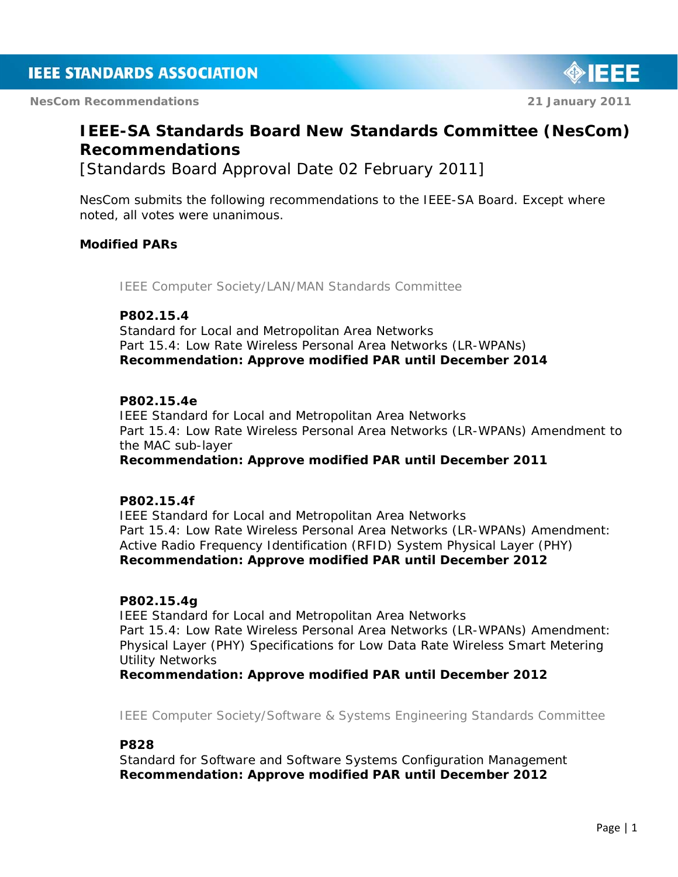**NesCom Recommendations 21 January 2011** 



# **IEEE-SA Standards Board New Standards Committee (NesCom) Recommendations**

[Standards Board Approval Date 02 February 2011]

NesCom submits the following recommendations to the IEEE-SA Board. Except where noted, all votes were unanimous.

### **Modified PARs**

*IEEE Computer Society/LAN/MAN Standards Committee*

### **P802.15.4**

Standard for Local and Metropolitan Area Networks Part 15.4: Low Rate Wireless Personal Area Networks (LR-WPANs) *Recommendation: Approve modified PAR until December 2014*

### **P802.15.4e**

IEEE Standard for Local and Metropolitan Area Networks Part 15.4: Low Rate Wireless Personal Area Networks (LR-WPANs) Amendment to the MAC sub-layer *Recommendation: Approve modified PAR until December 2011*

### **P802.15.4f**

IEEE Standard for Local and Metropolitan Area Networks Part 15.4: Low Rate Wireless Personal Area Networks (LR-WPANs) Amendment: Active Radio Frequency Identification (RFID) System Physical Layer (PHY) *Recommendation: Approve modified PAR until December 2012*

### **P802.15.4g**

IEEE Standard for Local and Metropolitan Area Networks Part 15.4: Low Rate Wireless Personal Area Networks (LR-WPANs) Amendment: Physical Layer (PHY) Specifications for Low Data Rate Wireless Smart Metering Utility Networks

*Recommendation: Approve modified PAR until December 2012*

*IEEE Computer Society/Software & Systems Engineering Standards Committee*

#### **P828**

Standard for Software and Software Systems Configuration Management *Recommendation: Approve modified PAR until December 2012*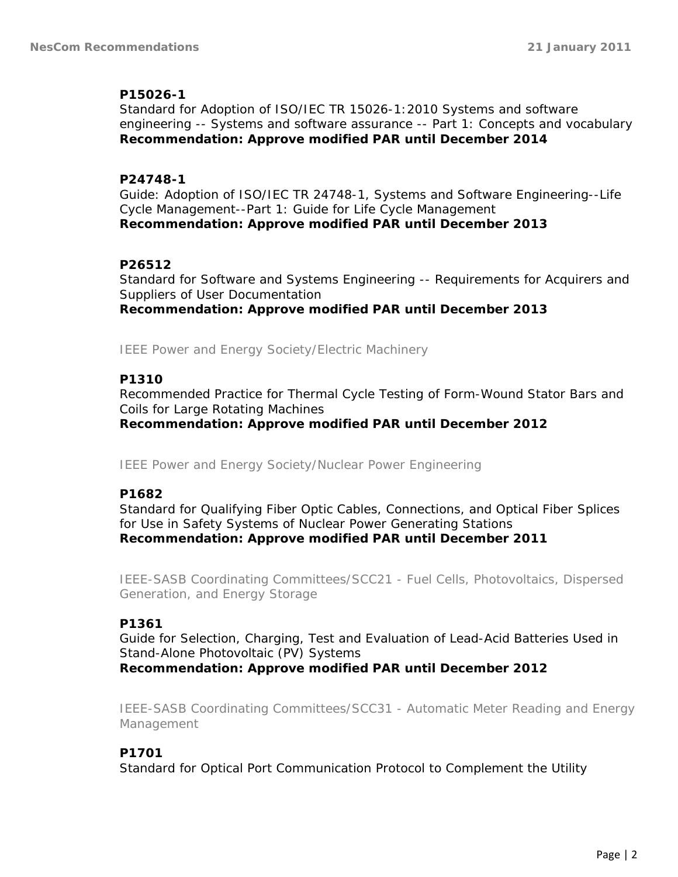### **P15026-1**

Standard for Adoption of ISO/IEC TR 15026-1:2010 Systems and software engineering -- Systems and software assurance -- Part 1: Concepts and vocabulary *Recommendation: Approve modified PAR until December 2014*

### **P24748-1**

Guide: Adoption of ISO/IEC TR 24748-1, Systems and Software Engineering--Life Cycle Management--Part 1: Guide for Life Cycle Management *Recommendation: Approve modified PAR until December 2013*

### **P26512**

Standard for Software and Systems Engineering -- Requirements for Acquirers and Suppliers of User Documentation *Recommendation: Approve modified PAR until December 2013*

*IEEE Power and Energy Society/Electric Machinery*

### **P1310**

Recommended Practice for Thermal Cycle Testing of Form-Wound Stator Bars and Coils for Large Rotating Machines *Recommendation: Approve modified PAR until December 2012*

*IEEE Power and Energy Society/Nuclear Power Engineering*

# **P1682**

Standard for Qualifying Fiber Optic Cables, Connections, and Optical Fiber Splices for Use in Safety Systems of Nuclear Power Generating Stations *Recommendation: Approve modified PAR until December 2011*

*IEEE-SASB Coordinating Committees/SCC21 - Fuel Cells, Photovoltaics, Dispersed Generation, and Energy Storage*

# **P1361**

Guide for Selection, Charging, Test and Evaluation of Lead-Acid Batteries Used in Stand-Alone Photovoltaic (PV) Systems *Recommendation: Approve modified PAR until December 2012*

*IEEE-SASB Coordinating Committees/SCC31 - Automatic Meter Reading and Energy Management*

### **P1701**

Standard for Optical Port Communication Protocol to Complement the Utility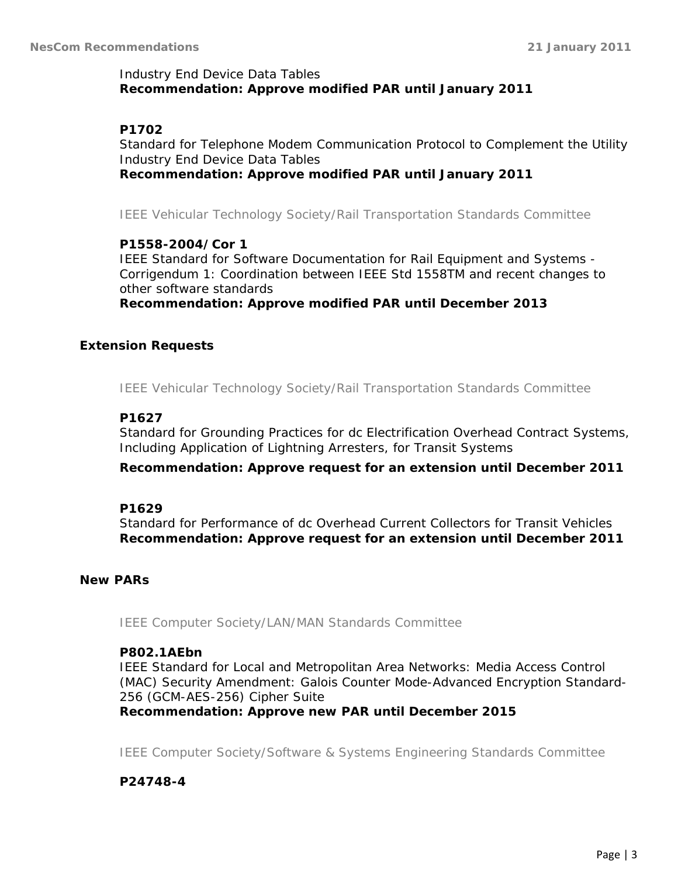### Industry End Device Data Tables *Recommendation: Approve modified PAR until January 2011*

# **P1702**

Standard for Telephone Modem Communication Protocol to Complement the Utility Industry End Device Data Tables *Recommendation: Approve modified PAR until January 2011*

*IEEE Vehicular Technology Society/Rail Transportation Standards Committee*

### **P1558-2004/Cor 1**

IEEE Standard for Software Documentation for Rail Equipment and Systems - Corrigendum 1: Coordination between IEEE Std 1558TM and recent changes to other software standards

*Recommendation: Approve modified PAR until December 2013*

#### **Extension Requests**

*IEEE Vehicular Technology Society/Rail Transportation Standards Committee*

#### **P1627**

Standard for Grounding Practices for dc Electrification Overhead Contract Systems, Including Application of Lightning Arresters, for Transit Systems

*Recommendation: Approve request for an extension until December 2011* 

#### **P1629**

Standard for Performance of dc Overhead Current Collectors for Transit Vehicles *Recommendation: Approve request for an extension until December 2011*

#### **New PARs**

*IEEE Computer Society/LAN/MAN Standards Committee*

#### **P802.1AEbn**

IEEE Standard for Local and Metropolitan Area Networks: Media Access Control (MAC) Security Amendment: Galois Counter Mode-Advanced Encryption Standard-256 (GCM-AES-256) Cipher Suite

*Recommendation: Approve new PAR until December 2015*

*IEEE Computer Society/Software & Systems Engineering Standards Committee*

#### **P24748-4**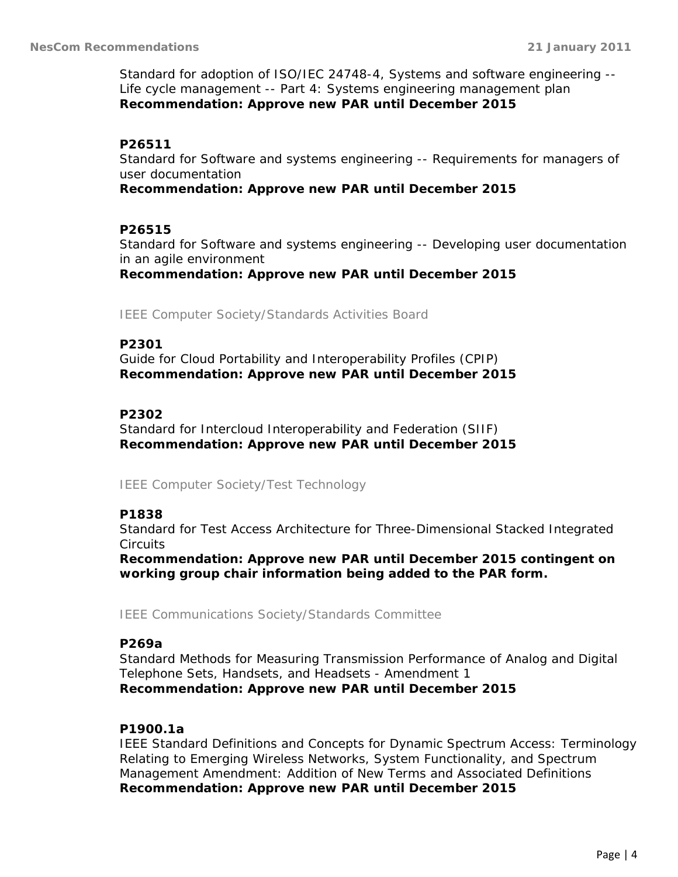Standard for adoption of ISO/IEC 24748-4, Systems and software engineering -- Life cycle management -- Part 4: Systems engineering management plan *Recommendation: Approve new PAR until December 2015*

# **P26511**

Standard for Software and systems engineering -- Requirements for managers of user documentation

*Recommendation: Approve new PAR until December 2015*

# **P26515**

Standard for Software and systems engineering -- Developing user documentation in an agile environment

*Recommendation: Approve new PAR until December 2015*

*IEEE Computer Society/Standards Activities Board*

# **P2301**

Guide for Cloud Portability and Interoperability Profiles (CPIP) *Recommendation: Approve new PAR until December 2015*

# **P2302**

Standard for Intercloud Interoperability and Federation (SIIF) *Recommendation: Approve new PAR until December 2015*

*IEEE Computer Society/Test Technology*

# **P1838**

Standard for Test Access Architecture for Three-Dimensional Stacked Integrated **Circuits** 

*Recommendation: Approve new PAR until December 2015 contingent on working group chair information being added to the PAR form.*

*IEEE Communications Society/Standards Committee*

# **P269a**

Standard Methods for Measuring Transmission Performance of Analog and Digital Telephone Sets, Handsets, and Headsets - Amendment 1 *Recommendation: Approve new PAR until December 2015*

# **P1900.1a**

IEEE Standard Definitions and Concepts for Dynamic Spectrum Access: Terminology Relating to Emerging Wireless Networks, System Functionality, and Spectrum Management Amendment: Addition of New Terms and Associated Definitions *Recommendation: Approve new PAR until December 2015*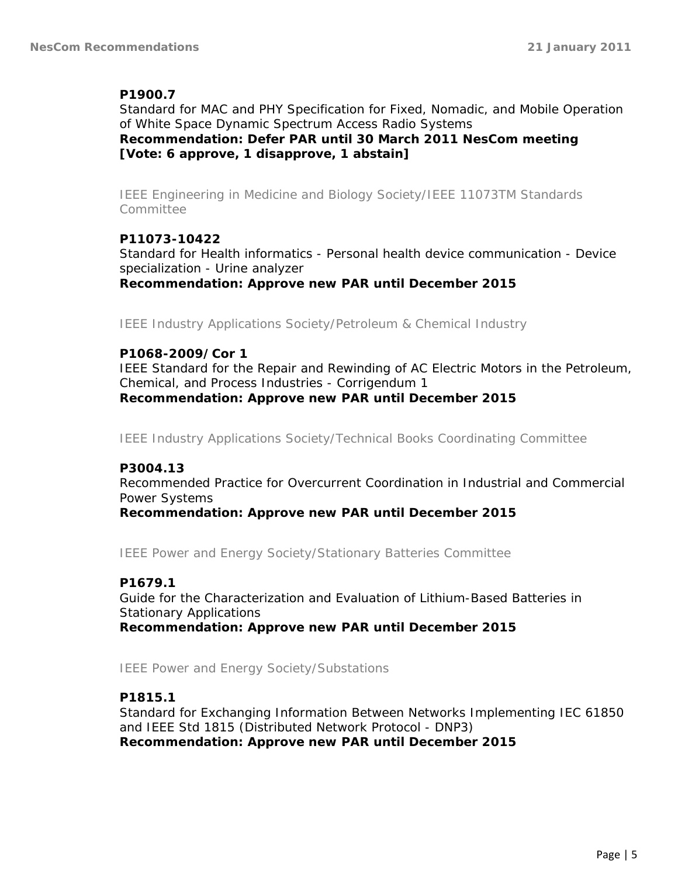### **P1900.7**

Standard for MAC and PHY Specification for Fixed, Nomadic, and Mobile Operation of White Space Dynamic Spectrum Access Radio Systems *Recommendation: Defer PAR until 30 March 2011 NesCom meeting [Vote: 6 approve, 1 disapprove, 1 abstain]*

*IEEE Engineering in Medicine and Biology Society/IEEE 11073TM Standards Committee*

### **P11073-10422**

Standard for Health informatics - Personal health device communication - Device specialization - Urine analyzer *Recommendation: Approve new PAR until December 2015*

*IEEE Industry Applications Society/Petroleum & Chemical Industry*

### **P1068-2009/Cor 1**

IEEE Standard for the Repair and Rewinding of AC Electric Motors in the Petroleum, Chemical, and Process Industries - Corrigendum 1 *Recommendation: Approve new PAR until December 2015*

*IEEE Industry Applications Society/Technical Books Coordinating Committee*

### **P3004.13**

Recommended Practice for Overcurrent Coordination in Industrial and Commercial Power Systems

*Recommendation: Approve new PAR until December 2015*

*IEEE Power and Energy Society/Stationary Batteries Committee*

### **P1679.1**

Guide for the Characterization and Evaluation of Lithium-Based Batteries in Stationary Applications *Recommendation: Approve new PAR until December 2015*

*IEEE Power and Energy Society/Substations*

# **P1815.1**

Standard for Exchanging Information Between Networks Implementing IEC 61850 and IEEE Std 1815 (Distributed Network Protocol - DNP3) *Recommendation: Approve new PAR until December 2015*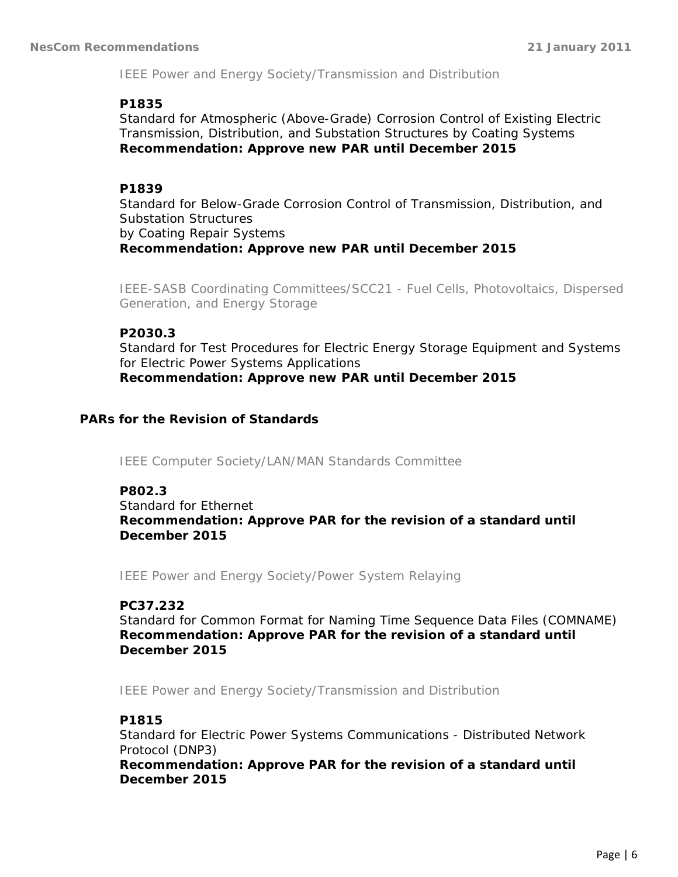*IEEE Power and Energy Society/Transmission and Distribution*

#### **P1835**

Standard for Atmospheric (Above-Grade) Corrosion Control of Existing Electric Transmission, Distribution, and Substation Structures by Coating Systems *Recommendation: Approve new PAR until December 2015*

### **P1839**

Standard for Below-Grade Corrosion Control of Transmission, Distribution, and Substation Structures by Coating Repair Systems *Recommendation: Approve new PAR until December 2015*

*IEEE-SASB Coordinating Committees/SCC21 - Fuel Cells, Photovoltaics, Dispersed Generation, and Energy Storage*

#### **P2030.3**

Standard for Test Procedures for Electric Energy Storage Equipment and Systems for Electric Power Systems Applications *Recommendation: Approve new PAR until December 2015*

### **PARs for the Revision of Standards**

*IEEE Computer Society/LAN/MAN Standards Committee*

**P802.3** Standard for Ethernet *Recommendation: Approve PAR for the revision of a standard until December 2015*

*IEEE Power and Energy Society/Power System Relaying*

### **PC37.232**

Standard for Common Format for Naming Time Sequence Data Files (COMNAME) *Recommendation: Approve PAR for the revision of a standard until December 2015*

*IEEE Power and Energy Society/Transmission and Distribution*

### **P1815**

Standard for Electric Power Systems Communications - Distributed Network Protocol (DNP3)

*Recommendation: Approve PAR for the revision of a standard until December 2015*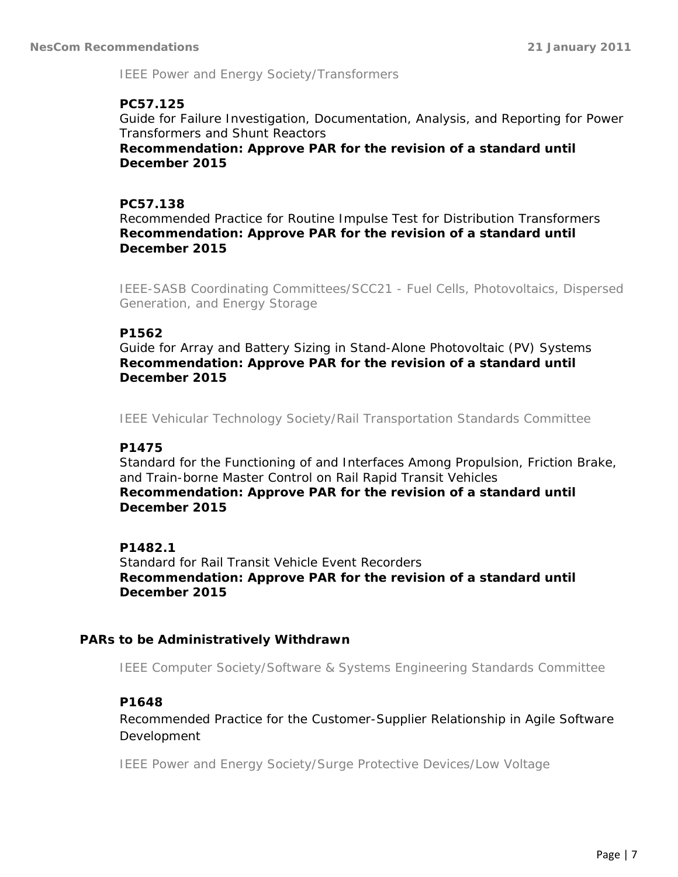*IEEE Power and Energy Society/Transformers*

#### **PC57.125**

Guide for Failure Investigation, Documentation, Analysis, and Reporting for Power Transformers and Shunt Reactors

*Recommendation: Approve PAR for the revision of a standard until December 2015*

#### **PC57.138**

Recommended Practice for Routine Impulse Test for Distribution Transformers *Recommendation: Approve PAR for the revision of a standard until December 2015*

*IEEE-SASB Coordinating Committees/SCC21 - Fuel Cells, Photovoltaics, Dispersed Generation, and Energy Storage*

#### **P1562**

Guide for Array and Battery Sizing in Stand-Alone Photovoltaic (PV) Systems *Recommendation: Approve PAR for the revision of a standard until December 2015*

*IEEE Vehicular Technology Society/Rail Transportation Standards Committee*

#### **P1475**

Standard for the Functioning of and Interfaces Among Propulsion, Friction Brake, and Train-borne Master Control on Rail Rapid Transit Vehicles *Recommendation: Approve PAR for the revision of a standard until December 2015*

### **P1482.1**

Standard for Rail Transit Vehicle Event Recorders *Recommendation: Approve PAR for the revision of a standard until December 2015*

#### **PARs to be Administratively Withdrawn**

*IEEE Computer Society/Software & Systems Engineering Standards Committee*

### **P1648**

Recommended Practice for the Customer-Supplier Relationship in Agile Software Development

*IEEE Power and Energy Society/Surge Protective Devices/Low Voltage*